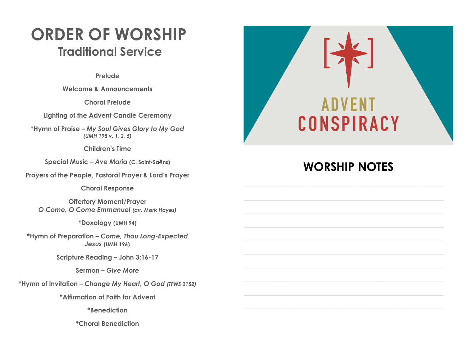# **ORDER OF WORSHIP Traditional Service**

**Prelude** 

**Welcome & Announcements** 

**Choral Prelude**

**Lighting of the Advent Candle Ceremony**

**\*Hymn of Praise –** *My Soul Gives Glory to My God (UMH 198 v. 1, 2, 5)*

**Children's Time** 

**Special Music –** *Ave Maria* **(C. Saint-Sa**ë**ns)**

**Prayers of the People, Pastoral Prayer & Lord's Prayer**

**Choral Response** 

**Offertory Moment/Prayer**  *O Come, O Come Emmanuel (arr. Mark Hayes)*

**\*Doxology (UMH 94)**

**\*Hymn of Preparation –** *Come, Thou Long-Expected Jesus* **(UMH 196)**

**Scripture Reading – John 3:16-17**

**Sermon –** *Give More*

**\*Hymn of Invitation –** *Change My Heart, O God (TFWS 2152)*

**\*Affirmation of Faith for Advent**

**\*Benediction**

**\*Choral Benediction**



# **WORSHIP NOTES**